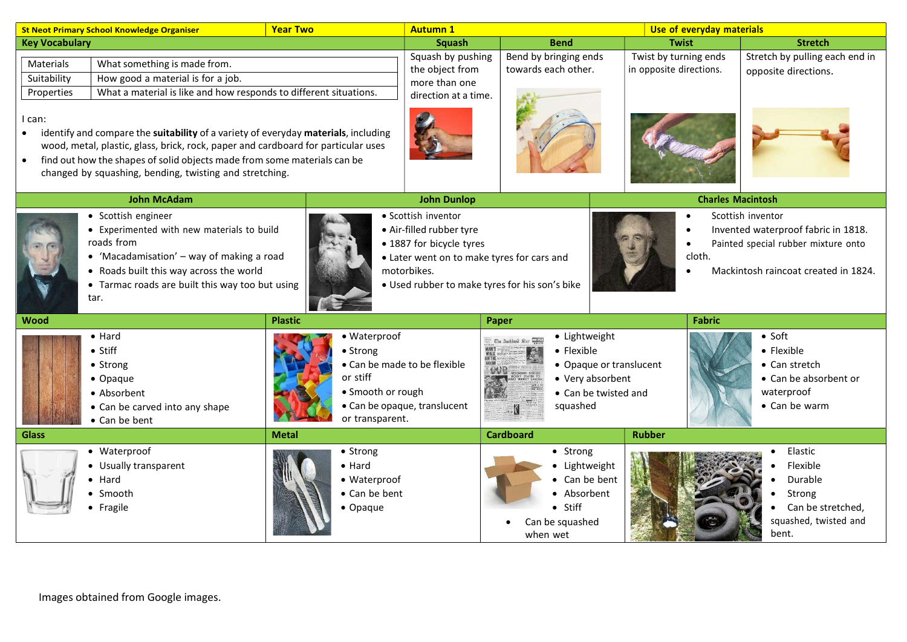| <b>Year Two</b><br><b>St Neot Primary School Knowledge Organiser</b>                                                                                                                                                                                                                                                                  |                                                                                                                                                                                                                                      |                                                                              | Use of everyday materials<br><b>Autumn 1</b>                                  |                                                                                                                                                                                            |                                                  |                                                                                                                                                   |  |
|---------------------------------------------------------------------------------------------------------------------------------------------------------------------------------------------------------------------------------------------------------------------------------------------------------------------------------------|--------------------------------------------------------------------------------------------------------------------------------------------------------------------------------------------------------------------------------------|------------------------------------------------------------------------------|-------------------------------------------------------------------------------|--------------------------------------------------------------------------------------------------------------------------------------------------------------------------------------------|--------------------------------------------------|---------------------------------------------------------------------------------------------------------------------------------------------------|--|
| <b>Key Vocabulary</b>                                                                                                                                                                                                                                                                                                                 |                                                                                                                                                                                                                                      |                                                                              | Squash                                                                        | <b>Bend</b>                                                                                                                                                                                | <b>Twist</b>                                     | <b>Stretch</b>                                                                                                                                    |  |
| Materials<br>Suitability<br>Properties                                                                                                                                                                                                                                                                                                | What something is made from.<br>How good a material is for a job.<br>What a material is like and how responds to different situations.                                                                                               |                                                                              | Squash by pushing<br>the object from<br>more than one<br>direction at a time. | Bend by bringing ends<br>towards each other.                                                                                                                                               | Twist by turning ends<br>in opposite directions. | Stretch by pulling each end in<br>opposite directions.                                                                                            |  |
| I can:<br>identify and compare the suitability of a variety of everyday materials, including<br>$\bullet$<br>wood, metal, plastic, glass, brick, rock, paper and cardboard for particular uses<br>find out how the shapes of solid objects made from some materials can be<br>changed by squashing, bending, twisting and stretching. |                                                                                                                                                                                                                                      |                                                                              |                                                                               |                                                                                                                                                                                            |                                                  |                                                                                                                                                   |  |
| <b>John McAdam</b>                                                                                                                                                                                                                                                                                                                    |                                                                                                                                                                                                                                      |                                                                              | <b>John Dunlop</b>                                                            |                                                                                                                                                                                            | <b>Charles Macintosh</b>                         |                                                                                                                                                   |  |
|                                                                                                                                                                                                                                                                                                                                       | • Scottish engineer<br>• Experimented with new materials to build<br>roads from<br>• 'Macadamisation' $-$ way of making a road<br>• Roads built this way across the world<br>• Tarmac roads are built this way too but using<br>tar. |                                                                              |                                                                               | · Scottish inventor<br>• Air-filled rubber tyre<br>• 1887 for bicycle tyres<br>• Later went on to make tyres for cars and<br>motorbikes.<br>• Used rubber to make tyres for his son's bike |                                                  | Scottish inventor<br>Invented waterproof fabric in 1818.<br>Painted special rubber mixture onto<br>cloth.<br>Mackintosh raincoat created in 1824. |  |
| <b>Wood</b>                                                                                                                                                                                                                                                                                                                           |                                                                                                                                                                                                                                      | <b>Plastic</b>                                                               |                                                                               | Paper                                                                                                                                                                                      | Fabric                                           |                                                                                                                                                   |  |
|                                                                                                                                                                                                                                                                                                                                       | $\bullet$ Hard<br>$\bullet$ Stiff<br>• Strong<br>• Opaque<br>• Absorbent<br>• Can be carved into any shape<br>• Can be bent                                                                                                          | · Waterproof<br>• Strong<br>or stiff<br>• Smooth or rough<br>or transparent. | • Can be made to be flexible<br>• Can be opaque, translucent                  | • Lightweight<br>$\bullet$ Flexible<br>• Opaque or translucent<br>• Very absorbent<br>• Can be twisted and<br>squashed                                                                     |                                                  | $\bullet$ Soft<br>• Flexible<br>$\bullet$ Can stretch<br>• Can be absorbent or<br>waterproof<br>• Can be warm                                     |  |
| <b>Glass</b>                                                                                                                                                                                                                                                                                                                          |                                                                                                                                                                                                                                      | <b>Metal</b>                                                                 |                                                                               | <b>Cardboard</b>                                                                                                                                                                           | <b>Rubber</b>                                    |                                                                                                                                                   |  |
|                                                                                                                                                                                                                                                                                                                                       | • Waterproof<br>• Usually transparent<br>$\bullet$ Hard<br>$\bullet$ Smooth<br>• Fragile                                                                                                                                             | • Strong<br>$\bullet$ Hard<br>• Waterproof<br>• Can be bent<br>• Opaque      |                                                                               | • Strong<br>Lightweight<br>• Can be bent<br>• Absorbent<br>$\bullet$ Stiff<br>Can be squashed<br>when wet                                                                                  |                                                  | Elastic<br>Flexible<br>Durable<br>Strong<br>Can be stretched,<br>squashed, twisted and<br>bent.                                                   |  |

Images obtained from Google images.